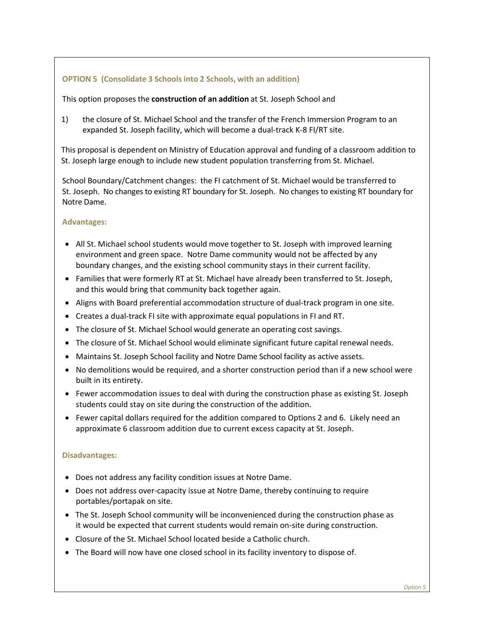## **OPTION 5 (Consolidate 3 Schools into 2 Schools, with an addition)**

## This option proposes the **construction of an addition** at St. Joseph School and

1) the closure of St. Michael School and the transfer of the French Immersion Program to an expanded St. Joseph facility, which will become a dual-track K-8 FI/RT site.

This proposal is dependent on Ministry of Education approval and funding of a classroom addition to St. Joseph large enough to include new student population transferring from St. Michael.

School Boundary/Catchment changes: the FI catchment of St. Michael would be transferred to St. Joseph. No changes to existing RT boundary for St. Joseph. No changes to existing RT boundary for Notre Dame.

## **Advantages:**

- All St. Michael school students would move together to St. Joseph with improved learning environment and green space. Notre Dame community would not be affected by any boundary changes, and the existing school community stays in their current facility.
- Families that were formerly RT at St. Michael have already been transferred to St. Joseph, and this would bring that community back together again.
- Aligns with Board preferential accommodation structure of dual-track program in one site.
- Creates a dual-track FI site with approximate equal populations in FI and RT.
- The closure of St. Michael School would generate an operating cost savings.
- The closure of St. Michael School would eliminate significant future capital renewal needs.
- Maintains St. Joseph School facility and Notre Dame School facility as active assets.
- No demolitions would be required, and a shorter construction period than if a new school were built in its entirety.
- Fewer accommodation issues to deal with during the construction phase as existing St. Joseph students could stay on site during the construction of the addition.
- Fewer capital dollars required for the addition compared to Options 2 and 6. Likely need an approximate 6 classroom addition due to current excess capacity at St. Joseph.

## **Disadvantages:**

- Does not address any facility condition issues at Notre Dame.
- Does not address over-capacity issue at Notre Dame, thereby continuing to require portables/portapak on site.
- The St. Joseph School community will be inconvenienced during the construction phase as it would be expected that current students would remain on-site during construction.
- Closure of the St. Michael School located beside a Catholic church.
- The Board will now have one closed school in its facility inventory to dispose of.